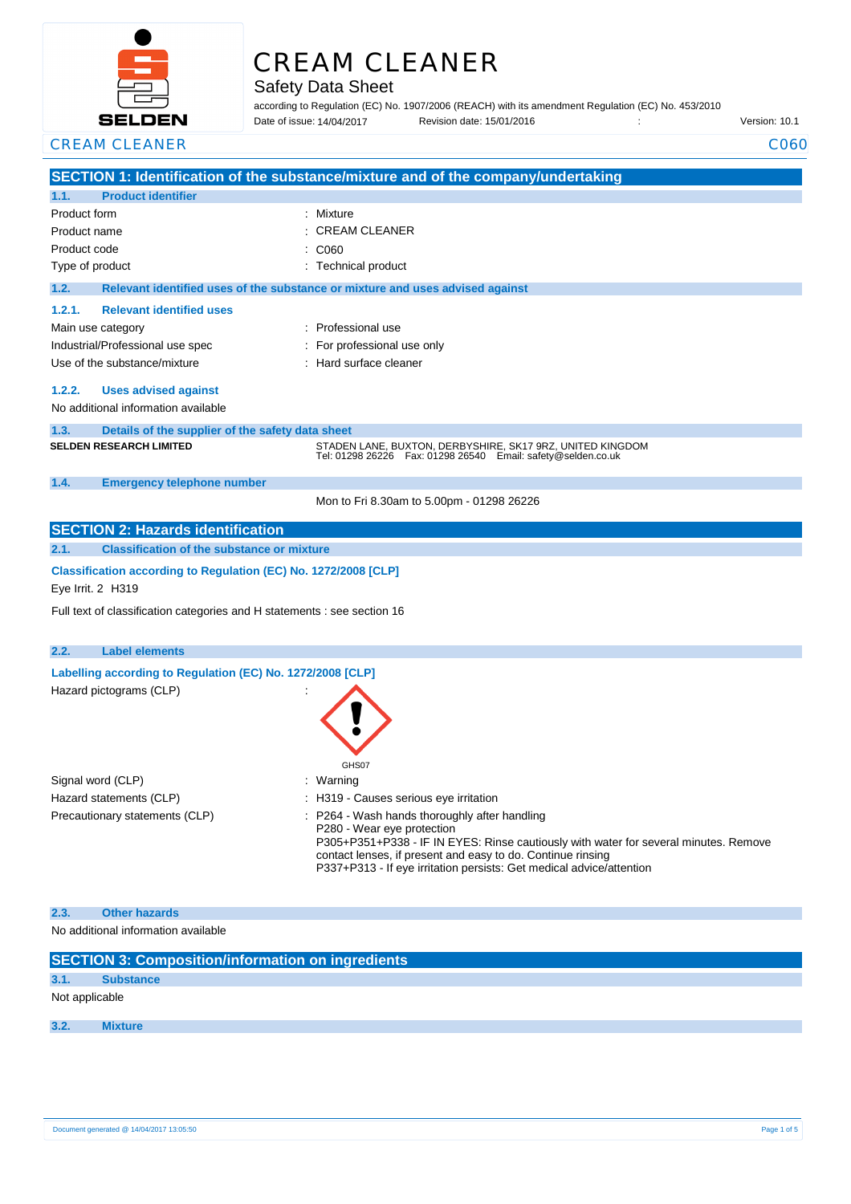

# CREAM CLEANER

Safety Data Sheet

according to Regulation (EC) No. 1907/2006 (REACH) with its amendment Regulation (EC) No. 453/2010 Date of issue: Revision date: 15/01/2016 : Version: 10.1 Date of issue: 14/04/2017

**CREAM CLEANER** CO60

|                                                                                      |                                                                                                                        | SECTION 1: Identification of the substance/mixture and of the company/undertaking                                                                                                                                                                                                                          |  |
|--------------------------------------------------------------------------------------|------------------------------------------------------------------------------------------------------------------------|------------------------------------------------------------------------------------------------------------------------------------------------------------------------------------------------------------------------------------------------------------------------------------------------------------|--|
| 1.1.                                                                                 | <b>Product identifier</b>                                                                                              | : Mixture                                                                                                                                                                                                                                                                                                  |  |
| Product form<br>Product name                                                         |                                                                                                                        | <b>CREAM CLEANER</b>                                                                                                                                                                                                                                                                                       |  |
| Product code                                                                         |                                                                                                                        | : C060                                                                                                                                                                                                                                                                                                     |  |
| Type of product                                                                      |                                                                                                                        | : Technical product                                                                                                                                                                                                                                                                                        |  |
| 1.2.                                                                                 |                                                                                                                        | Relevant identified uses of the substance or mixture and uses advised against                                                                                                                                                                                                                              |  |
| 1.2.1.                                                                               | <b>Relevant identified uses</b>                                                                                        |                                                                                                                                                                                                                                                                                                            |  |
|                                                                                      | Main use category                                                                                                      | : Professional use                                                                                                                                                                                                                                                                                         |  |
|                                                                                      | Industrial/Professional use spec                                                                                       | For professional use only                                                                                                                                                                                                                                                                                  |  |
|                                                                                      | Use of the substance/mixture                                                                                           | : Hard surface cleaner                                                                                                                                                                                                                                                                                     |  |
| 1.2.2.<br>1.3.                                                                       | <b>Uses advised against</b><br>No additional information available<br>Details of the supplier of the safety data sheet |                                                                                                                                                                                                                                                                                                            |  |
|                                                                                      | <b>SELDEN RESEARCH LIMITED</b>                                                                                         | STADEN LANE, BUXTON, DERBYSHIRE, SK17 9RZ, UNITED KINGDOM<br>Tel: 01298 26226    Fax: 01298 26540    Email: safety@selden.co.uk                                                                                                                                                                            |  |
| 1.4.                                                                                 | <b>Emergency telephone number</b>                                                                                      |                                                                                                                                                                                                                                                                                                            |  |
|                                                                                      |                                                                                                                        | Mon to Fri 8.30am to 5.00pm - 01298 26226                                                                                                                                                                                                                                                                  |  |
|                                                                                      | <b>SECTION 2: Hazards identification</b>                                                                               |                                                                                                                                                                                                                                                                                                            |  |
| 2.1.                                                                                 | <b>Classification of the substance or mixture</b>                                                                      |                                                                                                                                                                                                                                                                                                            |  |
| Classification according to Regulation (EC) No. 1272/2008 [CLP]<br>Eye Irrit. 2 H319 |                                                                                                                        |                                                                                                                                                                                                                                                                                                            |  |
|                                                                                      |                                                                                                                        |                                                                                                                                                                                                                                                                                                            |  |
|                                                                                      | Full text of classification categories and H statements : see section 16                                               |                                                                                                                                                                                                                                                                                                            |  |
| 2.2.                                                                                 | <b>Label elements</b>                                                                                                  |                                                                                                                                                                                                                                                                                                            |  |
|                                                                                      | Labelling according to Regulation (EC) No. 1272/2008 [CLP]                                                             |                                                                                                                                                                                                                                                                                                            |  |
|                                                                                      | Hazard pictograms (CLP)                                                                                                | GHS07                                                                                                                                                                                                                                                                                                      |  |
|                                                                                      | Signal word (CLP)                                                                                                      | : Warning                                                                                                                                                                                                                                                                                                  |  |
|                                                                                      | Hazard statements (CLP)                                                                                                | : H319 - Causes serious eye irritation                                                                                                                                                                                                                                                                     |  |
|                                                                                      | Precautionary statements (CLP)                                                                                         | : P264 - Wash hands thoroughly after handling<br>P280 - Wear eye protection<br>P305+P351+P338 - IF IN EYES: Rinse cautiously with water for several minutes. Remove<br>contact lenses, if present and easy to do. Continue rinsing<br>P337+P313 - If eye irritation persists: Get medical advice/attention |  |
| 2.3.                                                                                 | <b>Other hazards</b><br>No additional information available                                                            |                                                                                                                                                                                                                                                                                                            |  |

| <b>SECTION 3: Composition/information on ingredients</b> |
|----------------------------------------------------------|
|                                                          |

**3.1. Substance**

Not applicable

**3.2. Mixture**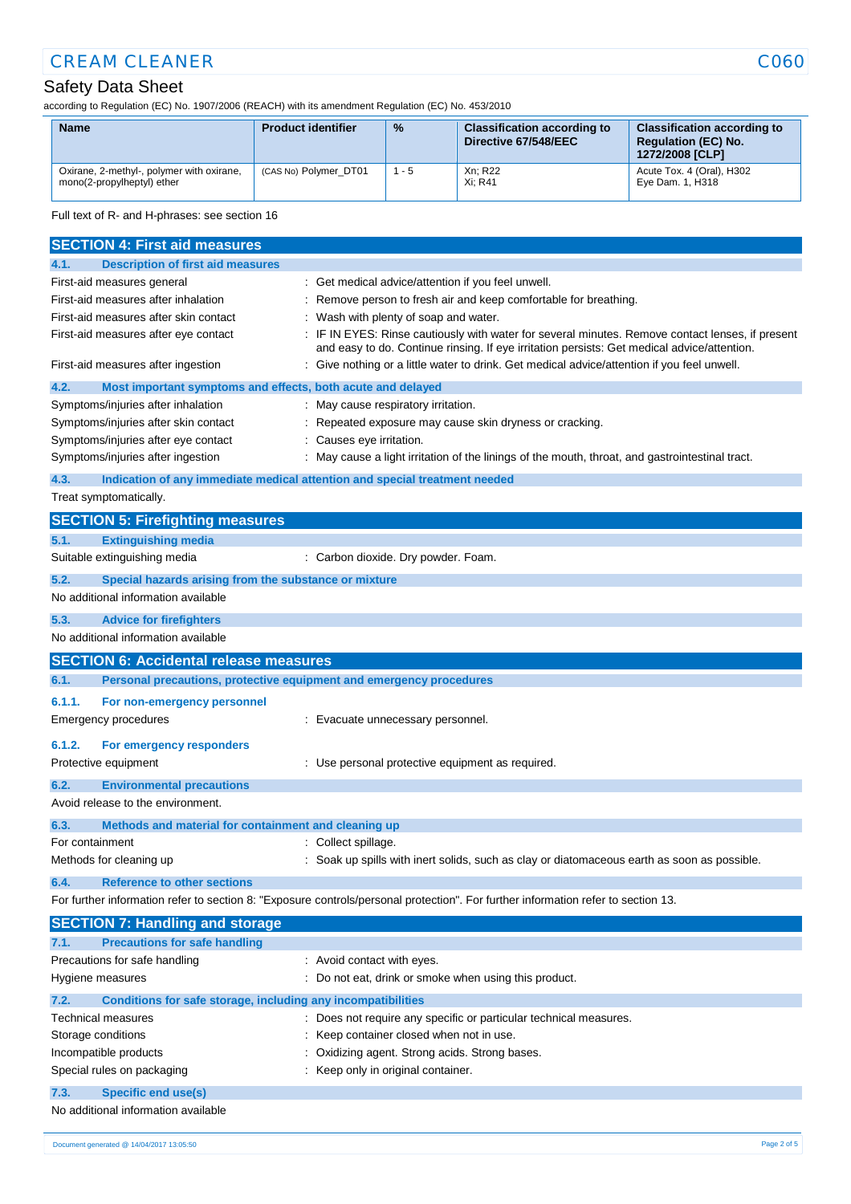# **CREAM CLEANER** CO60

# Safety Data Sheet

according to Regulation (EC) No. 1907/2006 (REACH) with its amendment Regulation (EC) No. 453/2010

| <b>Name</b>                                                             | <b>Product identifier</b> | $\%$    | <b>Classification according to</b><br>Directive 67/548/EEC | <b>Classification according to</b><br><b>Requlation (EC) No.</b><br>1272/2008 [CLP] |
|-------------------------------------------------------------------------|---------------------------|---------|------------------------------------------------------------|-------------------------------------------------------------------------------------|
| Oxirane, 2-methyl-, polymer with oxirane,<br>mono(2-propylheptyl) ether | (CAS No) Polymer DT01     | $1 - 5$ | Xn; R22<br>Xi: R41                                         | Acute Tox. 4 (Oral), H302<br>Eye Dam. 1, H318                                       |

Full text of R- and H-phrases: see section 16

| <b>SECTION 4: First aid measures</b>                                                                                              |                                                                                                                                                                                                 |  |  |
|-----------------------------------------------------------------------------------------------------------------------------------|-------------------------------------------------------------------------------------------------------------------------------------------------------------------------------------------------|--|--|
| <b>Description of first aid measures</b><br>4.1.                                                                                  |                                                                                                                                                                                                 |  |  |
| First-aid measures general                                                                                                        | : Get medical advice/attention if you feel unwell.                                                                                                                                              |  |  |
| First-aid measures after inhalation                                                                                               | Remove person to fresh air and keep comfortable for breathing.                                                                                                                                  |  |  |
| First-aid measures after skin contact                                                                                             | Wash with plenty of soap and water.                                                                                                                                                             |  |  |
| First-aid measures after eye contact                                                                                              | : IF IN EYES: Rinse cautiously with water for several minutes. Remove contact lenses, if present<br>and easy to do. Continue rinsing. If eye irritation persists: Get medical advice/attention. |  |  |
| First-aid measures after ingestion                                                                                                | : Give nothing or a little water to drink. Get medical advice/attention if you feel unwell.                                                                                                     |  |  |
| 4.2.<br>Most important symptoms and effects, both acute and delayed                                                               |                                                                                                                                                                                                 |  |  |
| Symptoms/injuries after inhalation                                                                                                | May cause respiratory irritation.                                                                                                                                                               |  |  |
| Symptoms/injuries after skin contact                                                                                              | Repeated exposure may cause skin dryness or cracking.                                                                                                                                           |  |  |
| Symptoms/injuries after eye contact                                                                                               | Causes eye irritation.                                                                                                                                                                          |  |  |
| Symptoms/injuries after ingestion                                                                                                 | May cause a light irritation of the linings of the mouth, throat, and gastrointestinal tract.                                                                                                   |  |  |
| 4.3.                                                                                                                              | Indication of any immediate medical attention and special treatment needed                                                                                                                      |  |  |
| Treat symptomatically.                                                                                                            |                                                                                                                                                                                                 |  |  |
| <b>SECTION 5: Firefighting measures</b>                                                                                           |                                                                                                                                                                                                 |  |  |
| <b>Extinguishing media</b><br>5.1.                                                                                                |                                                                                                                                                                                                 |  |  |
| Suitable extinguishing media                                                                                                      | : Carbon dioxide. Dry powder. Foam.                                                                                                                                                             |  |  |
| 5.2.<br>Special hazards arising from the substance or mixture                                                                     |                                                                                                                                                                                                 |  |  |
| No additional information available                                                                                               |                                                                                                                                                                                                 |  |  |
| 5.3.<br><b>Advice for firefighters</b>                                                                                            |                                                                                                                                                                                                 |  |  |
| No additional information available                                                                                               |                                                                                                                                                                                                 |  |  |
| <b>SECTION 6: Accidental release measures</b>                                                                                     |                                                                                                                                                                                                 |  |  |
| 6.1.<br>Personal precautions, protective equipment and emergency procedures                                                       |                                                                                                                                                                                                 |  |  |
| 6.1.1.<br>For non-emergency personnel                                                                                             |                                                                                                                                                                                                 |  |  |
| Emergency procedures                                                                                                              | : Evacuate unnecessary personnel.                                                                                                                                                               |  |  |
| 6.1.2.<br>For emergency responders                                                                                                |                                                                                                                                                                                                 |  |  |
| Protective equipment                                                                                                              | : Use personal protective equipment as required.                                                                                                                                                |  |  |
| 6.2.<br><b>Environmental precautions</b>                                                                                          |                                                                                                                                                                                                 |  |  |
| Avoid release to the environment.                                                                                                 |                                                                                                                                                                                                 |  |  |
| Methods and material for containment and cleaning up<br>6.3.                                                                      |                                                                                                                                                                                                 |  |  |
| For containment                                                                                                                   | Collect spillage.                                                                                                                                                                               |  |  |
| Methods for cleaning up                                                                                                           | Soak up spills with inert solids, such as clay or diatomaceous earth as soon as possible.                                                                                                       |  |  |
| 6.4.<br><b>Reference to other sections</b>                                                                                        |                                                                                                                                                                                                 |  |  |
| For further information refer to section 8: "Exposure controls/personal protection". For further information refer to section 13. |                                                                                                                                                                                                 |  |  |
| <b>SECTION 7: Handling and storage</b>                                                                                            |                                                                                                                                                                                                 |  |  |
| <b>Precautions for safe handling</b><br>7.1.                                                                                      |                                                                                                                                                                                                 |  |  |
| Precautions for safe handling                                                                                                     | : Avoid contact with eyes.                                                                                                                                                                      |  |  |
| Hygiene measures                                                                                                                  | : Do not eat, drink or smoke when using this product.                                                                                                                                           |  |  |
| 7.2.<br>Conditions for safe storage, including any incompatibilities                                                              |                                                                                                                                                                                                 |  |  |
| <b>Technical measures</b>                                                                                                         | : Does not require any specific or particular technical measures.                                                                                                                               |  |  |
| Storage conditions                                                                                                                | Keep container closed when not in use.                                                                                                                                                          |  |  |
| Incompatible products                                                                                                             | Oxidizing agent. Strong acids. Strong bases.                                                                                                                                                    |  |  |
| Special rules on packaging<br>Keep only in original container.                                                                    |                                                                                                                                                                                                 |  |  |
| 7.3.<br><b>Specific end use(s)</b>                                                                                                |                                                                                                                                                                                                 |  |  |
| No additional information available                                                                                               |                                                                                                                                                                                                 |  |  |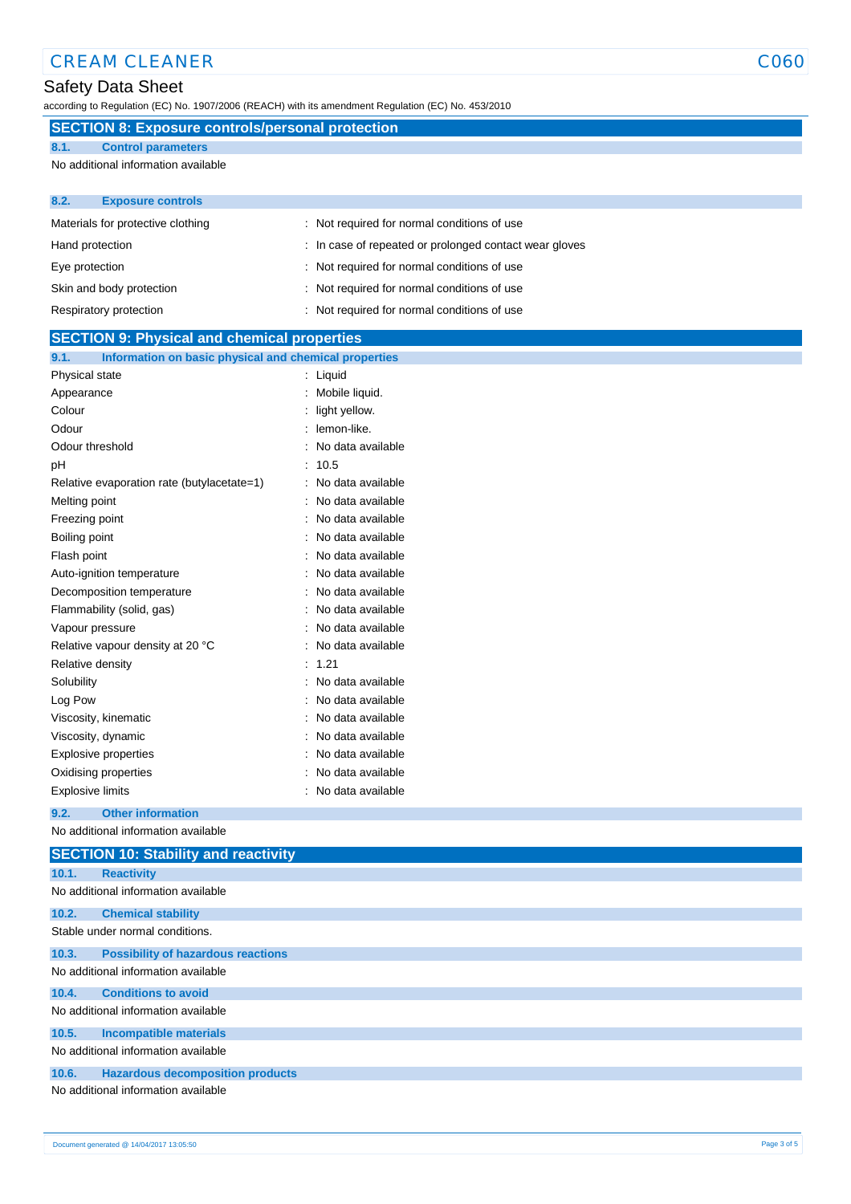### Safety Data Sheet

according to Regulation (EC) No. 1907/2006 (REACH) with its amendment Regulation (EC) No. 453/2010

## **SECTION 8: Exposure controls/personal protection**

**8.1. Control parameters**

No additional information available

| 8.2.<br><b>Exposure controls</b>  |                                                        |
|-----------------------------------|--------------------------------------------------------|
| Materials for protective clothing | : Not required for normal conditions of use            |
| Hand protection                   | : In case of repeated or prolonged contact wear gloves |
| Eye protection                    | : Not required for normal conditions of use            |
| Skin and body protection          | : Not required for normal conditions of use            |
| Respiratory protection            | Not required for normal conditions of use              |

| <b>SECTION 9: Physical and chemical properties</b>            |                   |  |
|---------------------------------------------------------------|-------------------|--|
| 9.1.<br>Information on basic physical and chemical properties |                   |  |
| Physical state                                                | Liquid            |  |
| Appearance                                                    | Mobile liquid.    |  |
| Colour                                                        | light yellow.     |  |
| Odour                                                         | lemon-like.       |  |
| Odour threshold                                               | No data available |  |
| рH                                                            | 10.5              |  |
| Relative evaporation rate (butylacetate=1)                    | No data available |  |
| Melting point                                                 | No data available |  |
| Freezing point                                                | No data available |  |
| Boiling point                                                 | No data available |  |
| Flash point                                                   | No data available |  |
| Auto-ignition temperature                                     | No data available |  |
| Decomposition temperature                                     | No data available |  |
| Flammability (solid, gas)                                     | No data available |  |
| Vapour pressure                                               | No data available |  |
| Relative vapour density at 20 °C                              | No data available |  |
| Relative density                                              | 1.21              |  |
| Solubility                                                    | No data available |  |
| Log Pow                                                       | No data available |  |
| Viscosity, kinematic                                          | No data available |  |
| Viscosity, dynamic                                            | No data available |  |
| Explosive properties                                          | No data available |  |
| Oxidising properties                                          | No data available |  |
| Explosive limits                                              | No data available |  |
| 9.2.<br><b>Other information</b>                              |                   |  |
| No additional information available                           |                   |  |
| <b>SECTION 10: Stability and reactivity</b>                   |                   |  |
| 10.1.<br><b>Reactivity</b>                                    |                   |  |
| No additional information available                           |                   |  |
|                                                               |                   |  |

| 10.2. | <b>Chemical stability</b>                 |
|-------|-------------------------------------------|
|       | Stable under normal conditions.           |
|       |                                           |
| 10.3. | <b>Possibility of hazardous reactions</b> |
|       | No additional information available       |
| 10.4. | <b>Conditions to avoid</b>                |
|       | No additional information available       |
| 10.5. | Incompatible materials                    |
|       | No additional information available       |
| 10.6. | <b>Hazardous decomposition products</b>   |

No additional information available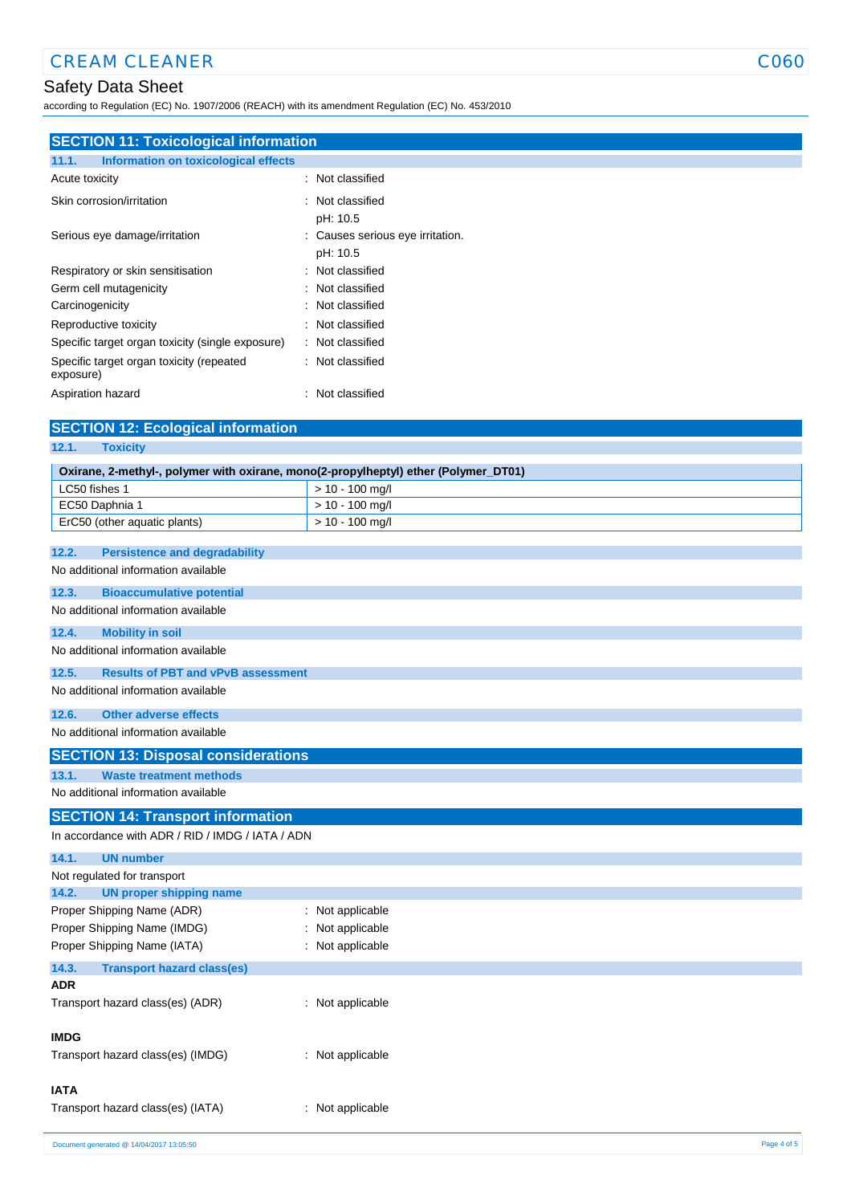# Safety Data Sheet

according to Regulation (EC) No. 1907/2006 (REACH) with its amendment Regulation (EC) No. 453/2010

| <b>SECTION 11: Toxicological information</b>          |                                              |  |
|-------------------------------------------------------|----------------------------------------------|--|
| Information on toxicological effects<br>11.1.         |                                              |  |
| Acute toxicity                                        | : Not classified                             |  |
| Skin corrosion/irritation                             | : Not classified<br>pH: 10.5                 |  |
| Serious eye damage/irritation                         | : Causes serious eye irritation.<br>pH: 10.5 |  |
| Respiratory or skin sensitisation                     | : Not classified                             |  |
| Germ cell mutagenicity                                | : Not classified                             |  |
| Carcinogenicity                                       | : Not classified                             |  |
| Reproductive toxicity                                 | : Not classified                             |  |
| Specific target organ toxicity (single exposure)      | : Not classified                             |  |
| Specific target organ toxicity (repeated<br>exposure) | : Not classified                             |  |
| Aspiration hazard                                     | Not classified<br>٠                          |  |

| <b>SECTION 12: Ecological information</b>                                           |                   |
|-------------------------------------------------------------------------------------|-------------------|
| 12.1.<br><b>Toxicity</b>                                                            |                   |
| Oxirane, 2-methyl-, polymer with oxirane, mono(2-propylheptyl) ether (Polymer_DT01) |                   |
| LC50 fishes 1                                                                       | $> 10 - 100$ mg/l |
| EC50 Daphnia 1                                                                      | $> 10 - 100$ mg/l |
| ErC50 (other aquatic plants)                                                        | $> 10 - 100$ mg/l |
| 12.2.<br><b>Persistence and degradability</b>                                       |                   |
| No additional information available                                                 |                   |
|                                                                                     |                   |
| 12.3.<br><b>Bioaccumulative potential</b>                                           |                   |
| No additional information available                                                 |                   |
| 12.4.<br><b>Mobility in soil</b>                                                    |                   |
| No additional information available                                                 |                   |
| <b>Results of PBT and vPvB assessment</b><br>12.5.                                  |                   |
| No additional information available                                                 |                   |
| <b>Other adverse effects</b><br>12.6.                                               |                   |
| No additional information available                                                 |                   |
| <b>SECTION 13: Disposal considerations</b>                                          |                   |
| 13.1.<br><b>Waste treatment methods</b>                                             |                   |
| No additional information available                                                 |                   |
| <b>SECTION 14: Transport information</b>                                            |                   |
| In accordance with ADR / RID / IMDG / IATA / ADN                                    |                   |
| 14.1.<br><b>UN number</b>                                                           |                   |
| Not regulated for transport                                                         |                   |
| <b>UN proper shipping name</b><br>14.2.                                             |                   |
| Proper Shipping Name (ADR)                                                          | : Not applicable  |
| Proper Shipping Name (IMDG)                                                         | : Not applicable  |
| Proper Shipping Name (IATA)                                                         | : Not applicable  |
| 14.3.<br><b>Transport hazard class(es)</b>                                          |                   |
| <b>ADR</b>                                                                          |                   |
| Transport hazard class(es) (ADR)                                                    | : Not applicable  |
| <b>IMDG</b>                                                                         |                   |
| Transport hazard class(es) (IMDG)                                                   | : Not applicable  |
| <b>IATA</b>                                                                         |                   |
| Transport hazard class(es) (IATA)                                                   | : Not applicable  |
|                                                                                     |                   |